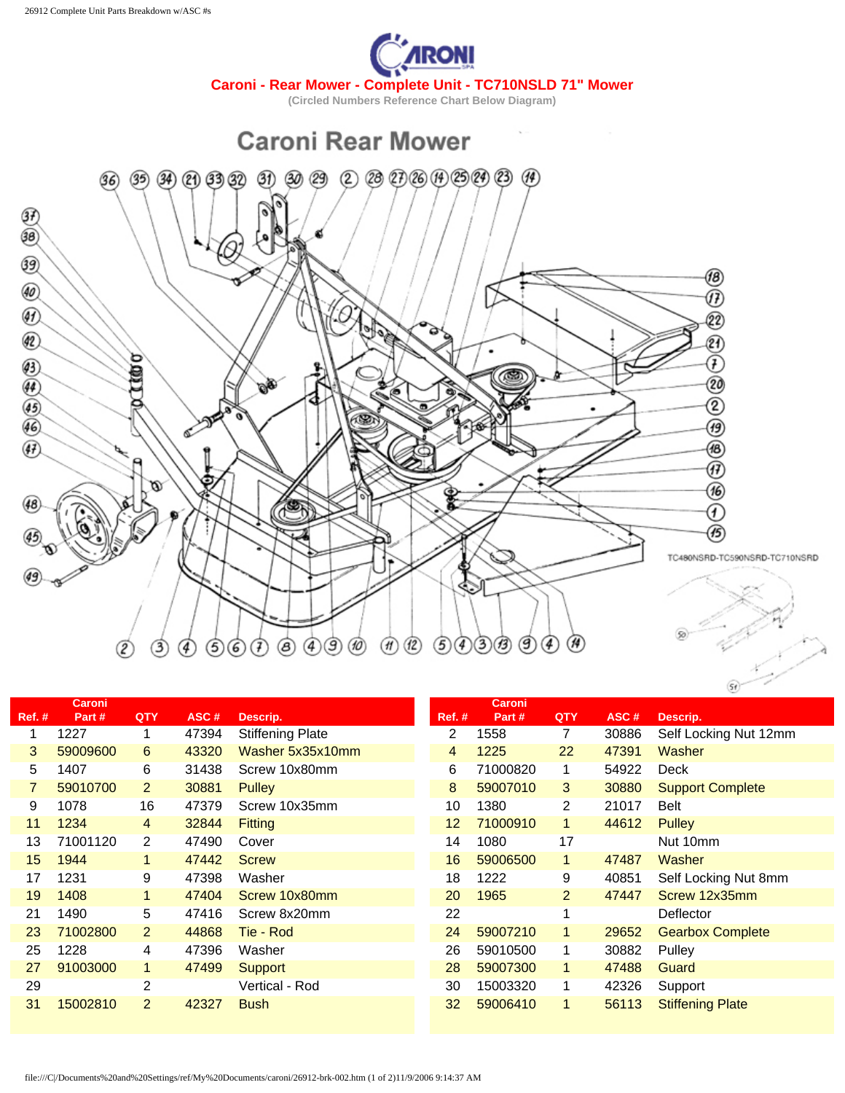



|               | <b>Caroni</b> |                |       |                         |        | <b>Caroni</b> |                |       |                         |
|---------------|---------------|----------------|-------|-------------------------|--------|---------------|----------------|-------|-------------------------|
| <b>Ref. #</b> | Part#         | QTY            | ASC#  | Descrip.                | Ref. # | Part#         | <b>QTY</b>     | ASC#  | Descrip.                |
|               | 1227          | 1              | 47394 | <b>Stiffening Plate</b> | 2      | 1558          | 7              | 30886 | Self Locking Nut 12mm   |
| 3             | 59009600      | 6              | 43320 | Washer 5x35x10mm        | 4      | 1225          | 22             | 47391 | Washer                  |
| 5             | 1407          | 6              | 31438 | Screw 10x80mm           | 6      | 71000820      | 1              | 54922 | Deck                    |
|               | 59010700      | $\overline{2}$ | 30881 | <b>Pulley</b>           | 8      | 59007010      | 3              | 30880 | <b>Support Complete</b> |
| 9             | 1078          | 16             | 47379 | Screw 10x35mm           | 10     | 1380          | $\overline{2}$ | 21017 | <b>Belt</b>             |
| 11            | 1234          | 4              | 32844 | <b>Fitting</b>          | 12     | 71000910      | $\mathbf{1}$   | 44612 | <b>Pulley</b>           |
| 13            | 71001120      | $\overline{2}$ | 47490 | Cover                   | 14     | 1080          | 17             |       | Nut 10mm                |
| 15            | 1944          | $\mathbf{1}$   | 47442 | <b>Screw</b>            | 16     | 59006500      | 1.             | 47487 | Washer                  |
| 17            | 1231          | 9              | 47398 | Washer                  | 18     | 1222          | 9              | 40851 | Self Locking Nut 8mm    |
| 19            | 1408          | $\mathbf{1}$   | 47404 | Screw 10x80mm           | 20     | 1965          | $\overline{2}$ | 47447 | Screw 12x35mm           |
| 21            | 1490          | 5              | 47416 | Screw 8x20mm            | 22     |               |                |       | Deflector               |
| 23            | 71002800      | $\overline{2}$ | 44868 | Tie - Rod               | 24     | 59007210      | 1              | 29652 | <b>Gearbox Complete</b> |
| 25            | 1228          | 4              | 47396 | Washer                  | 26     | 59010500      | 1              | 30882 | Pulley                  |
| 27            | 91003000      | $\mathbf{1}$   | 47499 | <b>Support</b>          | 28     | 59007300      | $\blacksquare$ | 47488 | Guard                   |
| 29            |               | 2              |       | Vertical - Rod          | 30     | 15003320      | 1              | 42326 | Support                 |
| 31            | 15002810      | 2              | 42327 | <b>Bush</b>             | 32     | 59006410      | 1              | 56113 | <b>Stiffening Plate</b> |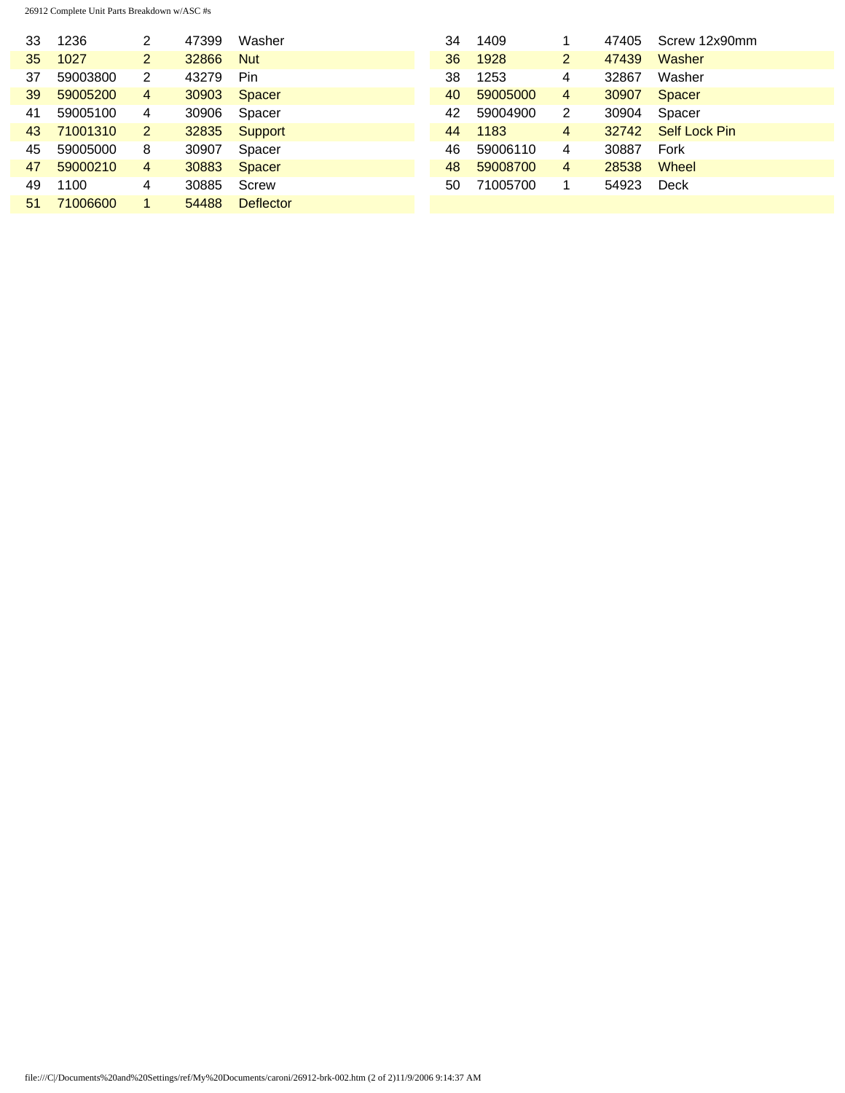26912 Complete Unit Parts Breakdown w/ASC #s

| 33              | 1236     | 2 | 47399 | Washer           | 34 | 1409     |                | 47405 | Screw 12x90mm |
|-----------------|----------|---|-------|------------------|----|----------|----------------|-------|---------------|
| 35              | 1027     | 2 | 32866 | <b>Nut</b>       | 36 | 1928     | 2.             | 47439 | Washer        |
| 37              | 59003800 | 2 | 43279 | Pin              | 38 | 1253     | 4              | 32867 | Washer        |
| 39              | 59005200 | 4 | 30903 | <b>Spacer</b>    | 40 | 59005000 | 4              | 30907 | <b>Spacer</b> |
| 41              | 59005100 | 4 | 30906 | Spacer           | 42 | 59004900 | $\overline{2}$ | 30904 | Spacer        |
| 43              | 71001310 | 2 | 32835 | Support          | 44 | 1183     | 4              | 32742 | Self Lock Pin |
| 45              | 59005000 | 8 | 30907 | Spacer           | 46 | 59006110 | 4              | 30887 | Fork          |
| 47              | 59000210 | 4 | 30883 | <b>Spacer</b>    | 48 | 59008700 | 4              | 28538 | Wheel         |
| 49              | 1100     | 4 | 30885 | Screw            | 50 | 71005700 |                | 54923 | <b>Deck</b>   |
| 51 <sub>1</sub> | 71006600 |   | 54488 | <b>Deflector</b> |    |          |                |       |               |
|                 |          |   |       |                  |    |          |                |       |               |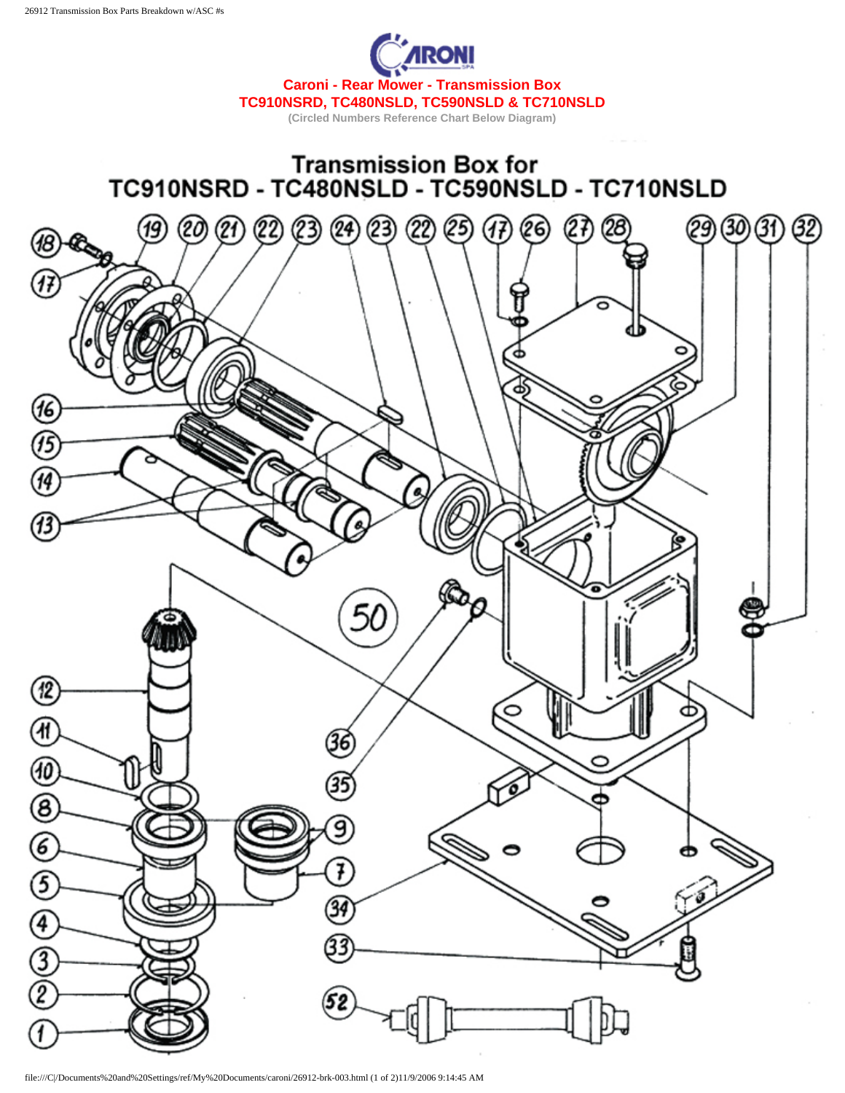



file:///C|/Documents%20and%20Settings/ref/My%20Documents/caroni/26912-brk-003.html (1 of 2)11/9/2006 9:14:45 AM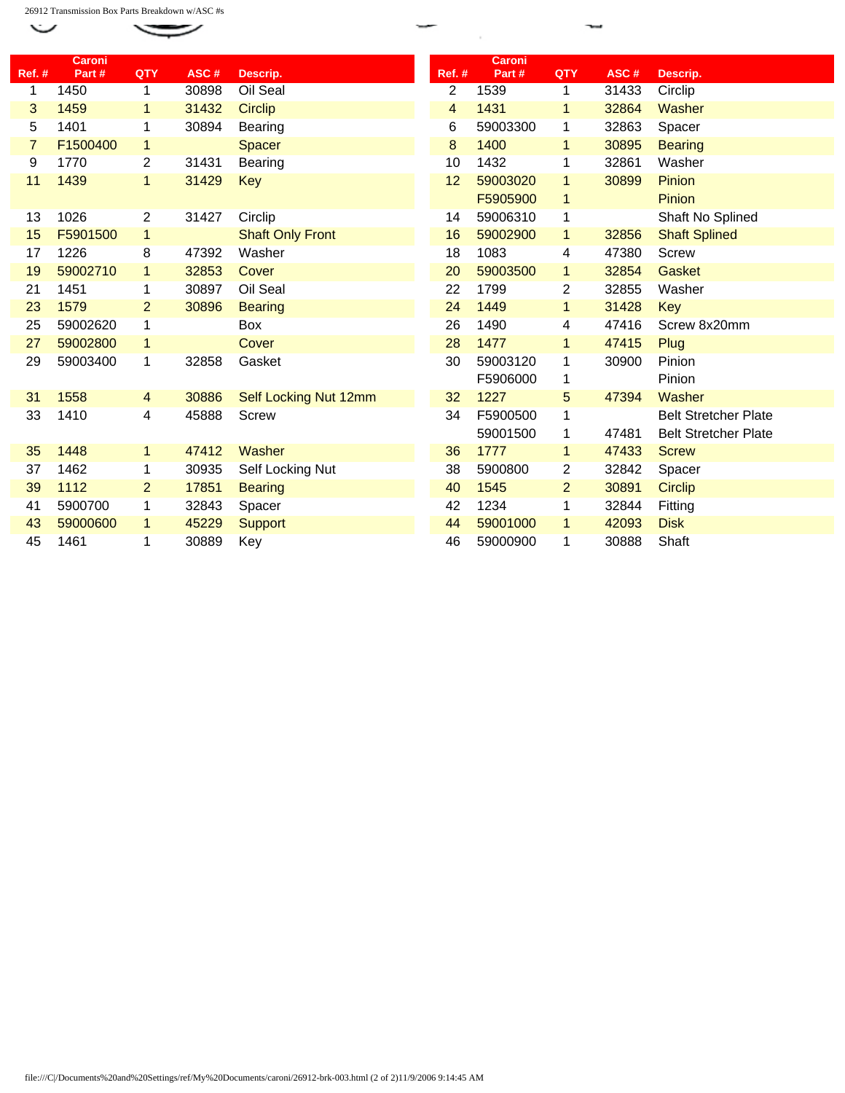26912 Transmission Box Parts Breakdown w/ASC #s

 $\check{~}$ 

|                | <b>Caroni</b> |                |       |                         |                         | <b>Caroni</b> |                |       |                             |
|----------------|---------------|----------------|-------|-------------------------|-------------------------|---------------|----------------|-------|-----------------------------|
| <b>Ref. #</b>  | Part#         | QTY            | ASC#  | Descrip.                | <b>Ref. #</b>           | Part#         | QTY            | ASC#  | Descrip.                    |
| 1              | 1450          | $\mathbf 1$    | 30898 | Oil Seal                | $\overline{2}$          | 1539          | $\mathbf{1}$   | 31433 | Circlip                     |
| 3              | 1459          | $\mathbf{1}$   | 31432 | <b>Circlip</b>          | $\overline{\mathbf{4}}$ | 1431          | $\mathbf{1}$   | 32864 | Washer                      |
| 5              | 1401          | 1              | 30894 | Bearing                 | 6                       | 59003300      | 1              | 32863 | Spacer                      |
| $\overline{7}$ | F1500400      | $\mathbf{1}$   |       | <b>Spacer</b>           | 8                       | 1400          | $\mathbf{1}$   | 30895 | <b>Bearing</b>              |
| 9              | 1770          | $\overline{c}$ | 31431 | Bearing                 | 10                      | 1432          | 1              | 32861 | Washer                      |
| 11             | 1439          | 1              | 31429 | Key                     | 12                      | 59003020      | 1              | 30899 | Pinion                      |
|                |               |                |       |                         |                         | F5905900      | $\mathbf{1}$   |       | Pinion                      |
| 13             | 1026          | $\overline{c}$ | 31427 | Circlip                 | 14                      | 59006310      | 1              |       | Shaft No Splined            |
| 15             | F5901500      | 1              |       | <b>Shaft Only Front</b> | 16                      | 59002900      | 1              | 32856 | <b>Shaft Splined</b>        |
| 17             | 1226          | 8              | 47392 | Washer                  | 18                      | 1083          | 4              | 47380 | <b>Screw</b>                |
| 19             | 59002710      | $\mathbf 1$    | 32853 | Cover                   | 20                      | 59003500      | 1              | 32854 | Gasket                      |
| 21             | 1451          | 1              | 30897 | Oil Seal                | 22                      | 1799          | 2              | 32855 | Washer                      |
| 23             | 1579          | $\overline{2}$ | 30896 | <b>Bearing</b>          | 24                      | 1449          | $\mathbf{1}$   | 31428 | Key                         |
| 25             | 59002620      | 1              |       | Box                     | 26                      | 1490          | 4              | 47416 | Screw 8x20mm                |
| 27             | 59002800      | $\mathbf{1}$   |       | Cover                   | 28                      | 1477          | $\mathbf{1}$   | 47415 | Plug                        |
| 29             | 59003400      | 1              | 32858 | Gasket                  | 30                      | 59003120      | 1              | 30900 | Pinion                      |
|                |               |                |       |                         |                         | F5906000      | 1              |       | Pinion                      |
| 31             | 1558          | 4              | 30886 | Self Locking Nut 12mm   | 32                      | 1227          | 5              | 47394 | Washer                      |
| 33             | 1410          | 4              | 45888 | <b>Screw</b>            | 34                      | F5900500      | 1              |       | <b>Belt Stretcher Plate</b> |
|                |               |                |       |                         |                         | 59001500      | 1              | 47481 | <b>Belt Stretcher Plate</b> |
| 35             | 1448          | 1              | 47412 | Washer                  | 36                      | 1777          | 1              | 47433 | <b>Screw</b>                |
| 37             | 1462          | 1              | 30935 | Self Locking Nut        | 38                      | 5900800       | $\overline{2}$ | 32842 | Spacer                      |
| 39             | 1112          | $\overline{2}$ | 17851 | <b>Bearing</b>          | 40                      | 1545          | $\overline{2}$ | 30891 | <b>Circlip</b>              |
| 41             | 5900700       | 1              | 32843 | Spacer                  | 42                      | 1234          | 1              | 32844 | Fitting                     |
| 43             | 59000600      | $\mathbf{1}$   | 45229 | <b>Support</b>          | 44                      | 59001000      | $\mathbf{1}$   | 42093 | <b>Disk</b>                 |
| 45             | 1461          | 1              | 30889 | Key                     | 46                      | 59000900      | 1              | 30888 | Shaft                       |

ł.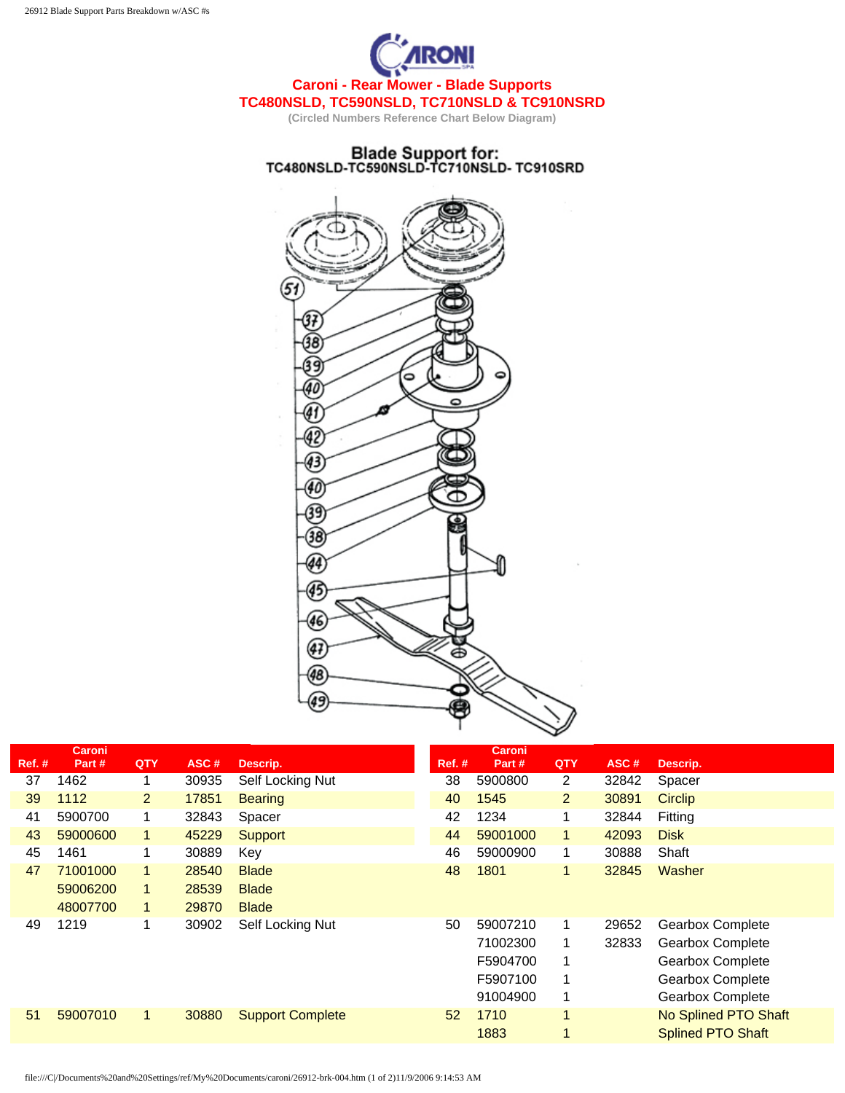

## Blade Support for:<br>TC480NSLD-TC590NSLD-TC710NSLD-TC910SRD



|        | <b>Caroni</b> |                |       |                         |        | <b>Caroni</b> |                |       |                          |
|--------|---------------|----------------|-------|-------------------------|--------|---------------|----------------|-------|--------------------------|
| Ref. # | Part#         | QTY            | ASC#  | Descrip.                | Ref. # | Part#         | QTY            | ASC#  | Descrip.                 |
| 37     | 1462          | 1              | 30935 | Self Locking Nut        | 38     | 5900800       | $\overline{2}$ | 32842 | Spacer                   |
| 39     | 1112          | $\overline{2}$ | 17851 | <b>Bearing</b>          | 40     | 1545          | $\overline{2}$ | 30891 | <b>Circlip</b>           |
| 41     | 5900700       | 1.             | 32843 | Spacer                  | 42     | 1234          | 1              | 32844 | Fitting                  |
| 43     | 59000600      | 1.             | 45229 | <b>Support</b>          | 44     | 59001000      | 1              | 42093 | <b>Disk</b>              |
| 45     | 1461          | 1.             | 30889 | Key                     | 46     | 59000900      | 1              | 30888 | Shaft                    |
| 47     | 71001000      | 1.             | 28540 | <b>Blade</b>            | 48     | 1801          | 1              | 32845 | Washer                   |
|        | 59006200      | 1.             | 28539 | <b>Blade</b>            |        |               |                |       |                          |
|        | 48007700      | 1              | 29870 | <b>Blade</b>            |        |               |                |       |                          |
| 49     | 1219          | 1              | 30902 | Self Locking Nut        | 50     | 59007210      | 1              | 29652 | <b>Gearbox Complete</b>  |
|        |               |                |       |                         |        | 71002300      |                | 32833 | <b>Gearbox Complete</b>  |
|        |               |                |       |                         |        | F5904700      | 1              |       | <b>Gearbox Complete</b>  |
|        |               |                |       |                         |        | F5907100      | 1              |       | Gearbox Complete         |
|        |               |                |       |                         |        | 91004900      | 1              |       | <b>Gearbox Complete</b>  |
| 51     | 59007010      | 1.             | 30880 | <b>Support Complete</b> | 52     | 1710          | 1              |       | No Splined PTO Shaft     |
|        |               |                |       |                         |        | 1883          |                |       | <b>Splined PTO Shaft</b> |
|        |               |                |       |                         |        |               |                |       |                          |